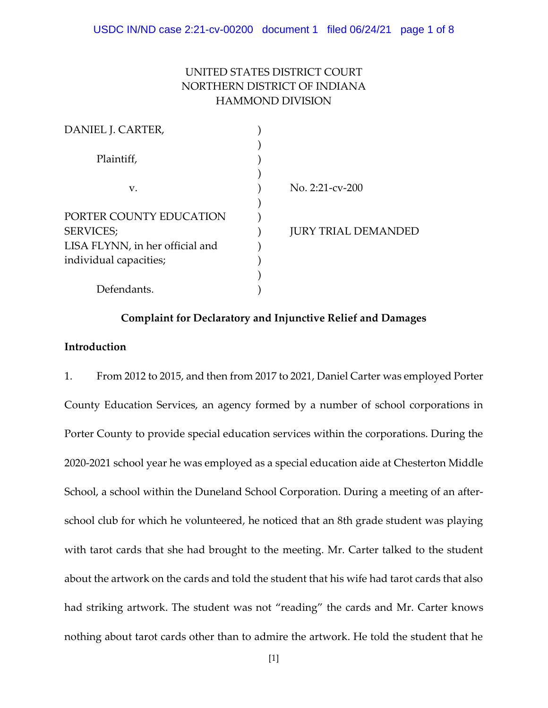# UNITED STATES DISTRICT COURT NORTHERN DISTRICT OF INDIANA HAMMOND DIVISION

| DANIEL J. CARTER,               |                            |
|---------------------------------|----------------------------|
|                                 |                            |
| Plaintiff,                      |                            |
|                                 |                            |
| V.                              | No. $2:21$ -cv- $200$      |
|                                 |                            |
| PORTER COUNTY EDUCATION         |                            |
| SERVICES;                       | <b>JURY TRIAL DEMANDED</b> |
| LISA FLYNN, in her official and |                            |
| individual capacities;          |                            |
|                                 |                            |
| Defendants.                     |                            |

## **Complaint for Declaratory and Injunctive Relief and Damages**

## **Introduction**

1. From 2012 to 2015, and then from 2017 to 2021, Daniel Carter was employed Porter County Education Services, an agency formed by a number of school corporations in Porter County to provide special education services within the corporations. During the 2020-2021 school year he was employed as a special education aide at Chesterton Middle School, a school within the Duneland School Corporation. During a meeting of an afterschool club for which he volunteered, he noticed that an 8th grade student was playing with tarot cards that she had brought to the meeting. Mr. Carter talked to the student about the artwork on the cards and told the student that his wife had tarot cards that also had striking artwork. The student was not "reading" the cards and Mr. Carter knows nothing about tarot cards other than to admire the artwork. He told the student that he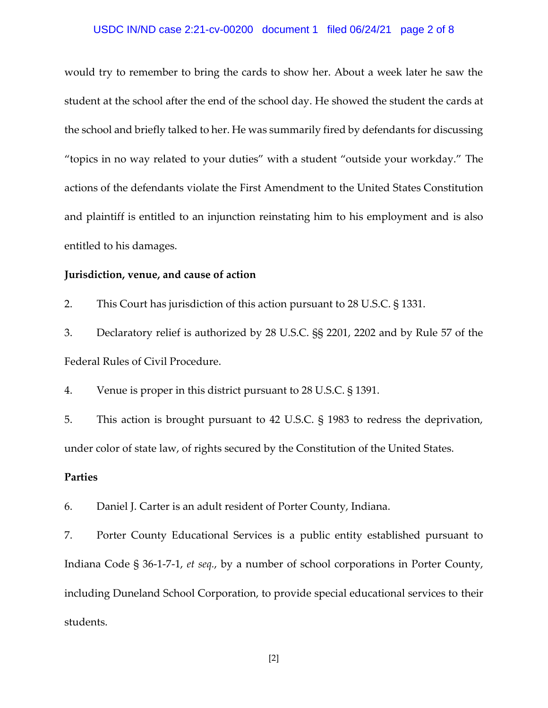### USDC IN/ND case 2:21-cv-00200 document 1 filed 06/24/21 page 2 of 8

would try to remember to bring the cards to show her. About a week later he saw the student at the school after the end of the school day. He showed the student the cards at the school and briefly talked to her. He was summarily fired by defendants for discussing "topics in no way related to your duties" with a student "outside your workday." The actions of the defendants violate the First Amendment to the United States Constitution and plaintiff is entitled to an injunction reinstating him to his employment and is also entitled to his damages.

#### **Jurisdiction, venue, and cause of action**

2. This Court has jurisdiction of this action pursuant to 28 U.S.C. § 1331.

3. Declaratory relief is authorized by 28 U.S.C. §§ 2201, 2202 and by Rule 57 of the Federal Rules of Civil Procedure.

4. Venue is proper in this district pursuant to 28 U.S.C. § 1391.

5. This action is brought pursuant to 42 U.S.C. § 1983 to redress the deprivation, under color of state law, of rights secured by the Constitution of the United States.

## **Parties**

6. Daniel J. Carter is an adult resident of Porter County, Indiana.

7. Porter County Educational Services is a public entity established pursuant to Indiana Code § 36-1-7-1, *et seq.*, by a number of school corporations in Porter County, including Duneland School Corporation, to provide special educational services to their students.

[2]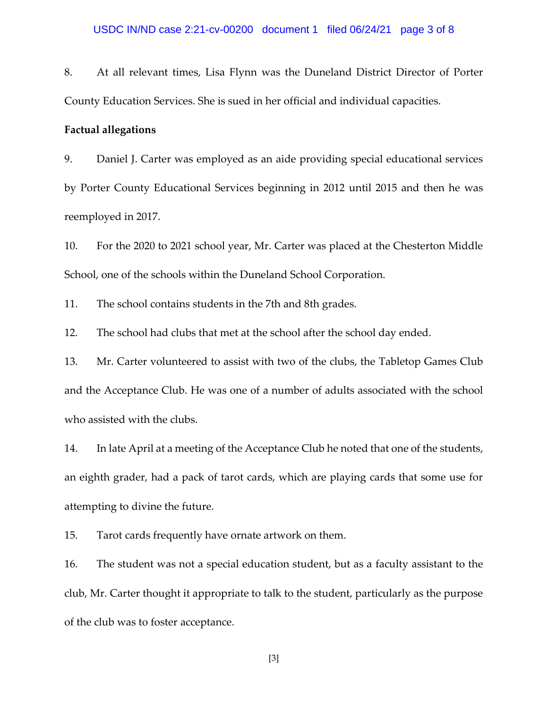8. At all relevant times, Lisa Flynn was the Duneland District Director of Porter County Education Services. She is sued in her official and individual capacities.

### **Factual allegations**

9. Daniel J. Carter was employed as an aide providing special educational services by Porter County Educational Services beginning in 2012 until 2015 and then he was reemployed in 2017.

10. For the 2020 to 2021 school year, Mr. Carter was placed at the Chesterton Middle School, one of the schools within the Duneland School Corporation.

11. The school contains students in the 7th and 8th grades.

12. The school had clubs that met at the school after the school day ended.

13. Mr. Carter volunteered to assist with two of the clubs, the Tabletop Games Club and the Acceptance Club. He was one of a number of adults associated with the school who assisted with the clubs.

14. In late April at a meeting of the Acceptance Club he noted that one of the students, an eighth grader, had a pack of tarot cards, which are playing cards that some use for attempting to divine the future.

15. Tarot cards frequently have ornate artwork on them.

16. The student was not a special education student, but as a faculty assistant to the club, Mr. Carter thought it appropriate to talk to the student, particularly as the purpose of the club was to foster acceptance.

[3]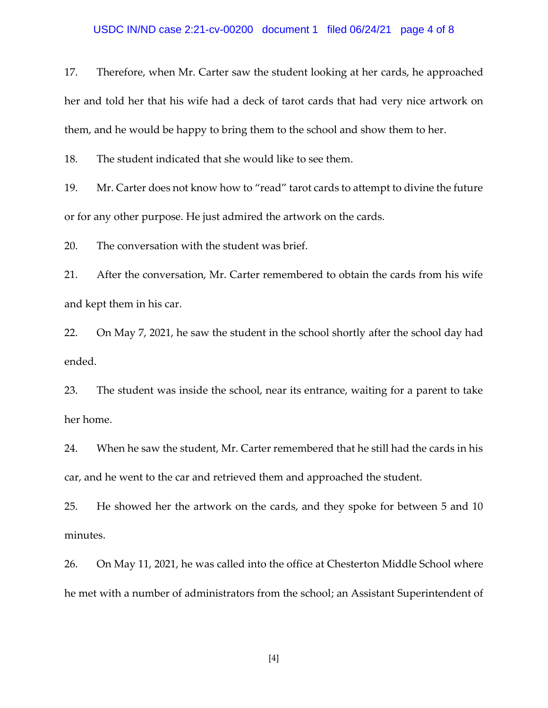#### USDC IN/ND case 2:21-cv-00200 document 1 filed 06/24/21 page 4 of 8

17. Therefore, when Mr. Carter saw the student looking at her cards, he approached her and told her that his wife had a deck of tarot cards that had very nice artwork on them, and he would be happy to bring them to the school and show them to her.

18. The student indicated that she would like to see them.

19. Mr. Carter does not know how to "read" tarot cards to attempt to divine the future or for any other purpose. He just admired the artwork on the cards.

20. The conversation with the student was brief.

21. After the conversation, Mr. Carter remembered to obtain the cards from his wife and kept them in his car.

22. On May 7, 2021, he saw the student in the school shortly after the school day had ended.

23. The student was inside the school, near its entrance, waiting for a parent to take her home.

24. When he saw the student, Mr. Carter remembered that he still had the cards in his car, and he went to the car and retrieved them and approached the student.

25. He showed her the artwork on the cards, and they spoke for between 5 and 10 minutes.

26. On May 11, 2021, he was called into the office at Chesterton Middle School where he met with a number of administrators from the school; an Assistant Superintendent of

[4]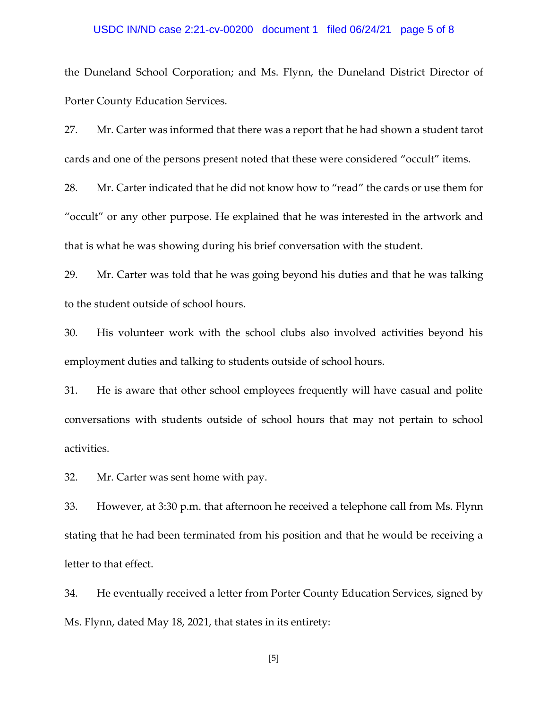### USDC IN/ND case 2:21-cv-00200 document 1 filed 06/24/21 page 5 of 8

the Duneland School Corporation; and Ms. Flynn, the Duneland District Director of Porter County Education Services.

27. Mr. Carter was informed that there was a report that he had shown a student tarot cards and one of the persons present noted that these were considered "occult" items.

28. Mr. Carter indicated that he did not know how to "read" the cards or use them for "occult" or any other purpose. He explained that he was interested in the artwork and that is what he was showing during his brief conversation with the student.

29. Mr. Carter was told that he was going beyond his duties and that he was talking to the student outside of school hours.

30. His volunteer work with the school clubs also involved activities beyond his employment duties and talking to students outside of school hours.

31. He is aware that other school employees frequently will have casual and polite conversations with students outside of school hours that may not pertain to school activities.

32. Mr. Carter was sent home with pay.

33. However, at 3:30 p.m. that afternoon he received a telephone call from Ms. Flynn stating that he had been terminated from his position and that he would be receiving a letter to that effect.

34. He eventually received a letter from Porter County Education Services, signed by Ms. Flynn, dated May 18, 2021, that states in its entirety:

[5]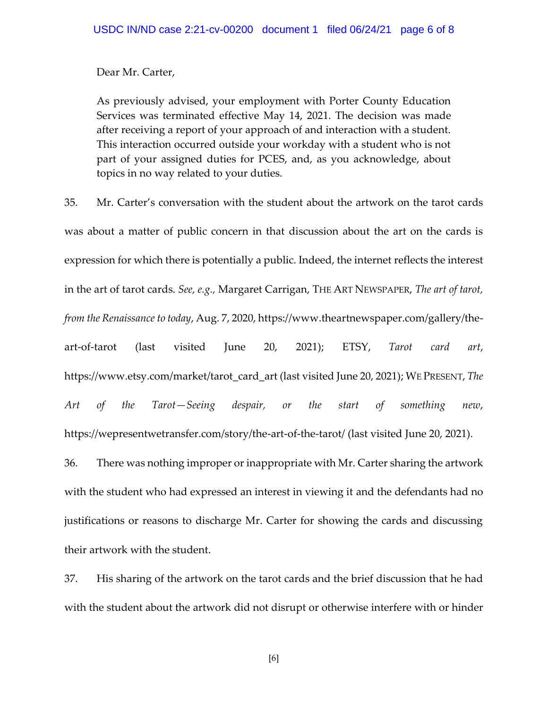Dear Mr. Carter,

As previously advised, your employment with Porter County Education Services was terminated effective May 14, 2021. The decision was made after receiving a report of your approach of and interaction with a student. This interaction occurred outside your workday with a student who is not part of your assigned duties for PCES, and, as you acknowledge, about topics in no way related to your duties.

35. Mr. Carter's conversation with the student about the artwork on the tarot cards was about a matter of public concern in that discussion about the art on the cards is expression for which there is potentially a public. Indeed, the internet reflects the interest in the art of tarot cards. *See, e.g.,* Margaret Carrigan, THE ART NEWSPAPER, *The art of tarot, from the Renaissance to today*, Aug. 7, 2020, https://www.theartnewspaper.com/gallery/theart-of-tarot (last visited June 20, 2021); ETSY, *Tarot card art*, https://www.etsy.com/market/tarot\_card\_art (last visited June 20, 2021); WE PRESENT, *The Art of the Tarot—Seeing despair, or the start of something new*, https://wepresentwetransfer.com/story/the-art-of-the-tarot/ (last visited June 20, 2021).

36. There was nothing improper or inappropriate with Mr. Carter sharing the artwork with the student who had expressed an interest in viewing it and the defendants had no justifications or reasons to discharge Mr. Carter for showing the cards and discussing their artwork with the student.

37. His sharing of the artwork on the tarot cards and the brief discussion that he had with the student about the artwork did not disrupt or otherwise interfere with or hinder

[6]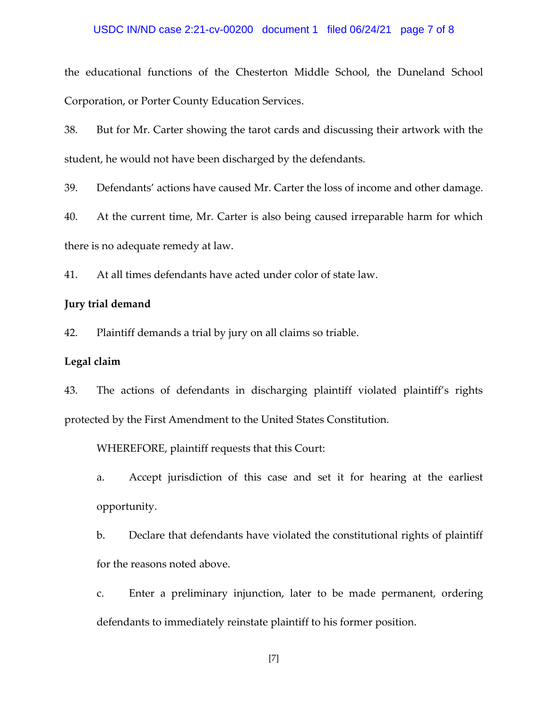### USDC IN/ND case 2:21-cv-00200 document 1 filed 06/24/21 page 7 of 8

the educational functions of the Chesterton Middle School, the Duneland School Corporation, or Porter County Education Services.

38. But for Mr. Carter showing the tarot cards and discussing their artwork with the student, he would not have been discharged by the defendants.

39. Defendants' actions have caused Mr. Carter the loss of income and other damage.

40. At the current time, Mr. Carter is also being caused irreparable harm for which there is no adequate remedy at law.

41. At all times defendants have acted under color of state law.

#### **Jury trial demand**

42. Plaintiff demands a trial by jury on all claims so triable.

#### **Legal claim**

43. The actions of defendants in discharging plaintiff violated plaintiff's rights protected by the First Amendment to the United States Constitution.

WHEREFORE, plaintiff requests that this Court:

a. Accept jurisdiction of this case and set it for hearing at the earliest opportunity.

b. Declare that defendants have violated the constitutional rights of plaintiff for the reasons noted above.

c. Enter a preliminary injunction, later to be made permanent, ordering defendants to immediately reinstate plaintiff to his former position.

[7]